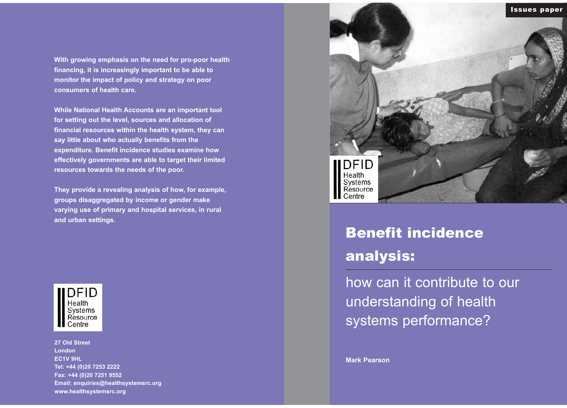# Benefit incidence analysis:

how can it contribute to our understanding of health systems performance?

**Mark Pearson**

**With growing emphasis on the need for pro-poor health financing, it is increasingly important to be able to monitor the impact of policy and strategy on poor consumers of health care.** 

**While National Health Accounts are an important tool for setting out the level, sources and allocation of financial resources within the health system, they can say little about who actually benefits from the expenditure. Benefit incidence studies examine how effectively governments are able to target their limited resources towards the needs of the poor.**

**They provide a revealing analysis of how, for example, groups disaggregated by income or gender make varying use of primary and hospital services, in rural and urban settings.**

 $DFID$ <br>Health Systems Resource Centre

**27 Old Street London EC1V 9HL Tel: +44 (0)20 7253 2222 Fax: +44 (0)20 7251 9552 Email: enquiries@healthsystemsrc.org www.healthsystemsrc.org**

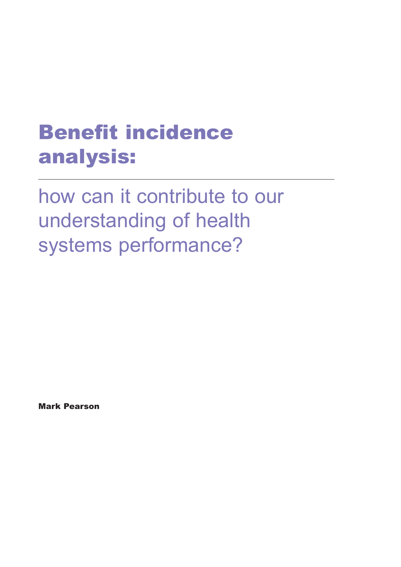# Benefit incidence analysis:

how can it contribute to our understanding of health systems performance?

Mark Pearson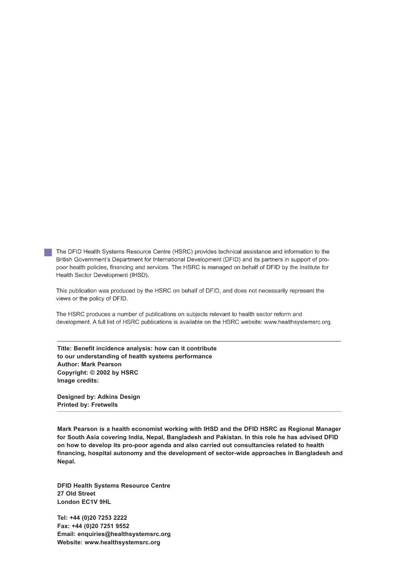The DFID Health Systems Resource Centre (HSRC) provides technical assistance and information to the British Government's Department for International Development (DFID) and its partners in support of propoor health policies, financing and services. The HSRC is managed on behalf of DFID by the Institute for Health Sector Development (IHSD).

This publication was produced by the HSRC on behalf of DFID, and does not necessarily represent the views or the policy of DFID.

The HSRC produces a number of publications on subjects relevant to health sector reform and development. A full list of HSRC publications is available on the HSRC website: www.healthsystemsrc.org.

**Title: Benefit incidence analysis: how can it contribute to our understanding of health systems performance Author: Mark Pearson Copyright: © 2002 by HSRC Image credits:**

**Designed by: Adkins Design Printed by: Fretwells**

**Mark Pearson is a health economist working with IHSD and the DFID HSRC as Regional Manager for South Asia covering India, Nepal, Bangladesh and Pakistan. In this role he has advised DFID on how to develop its pro-poor agenda and also carried out consultancies related to health financing, hospital autonomy and the development of sector-wide approaches in Bangladesh and Nepal.**

**DFID Health Systems Resource Centre 27 Old Street London EC1V 9HL**

**Tel: +44 (0)20 7253 2222 Fax: +44 (0)20 7251 9552 Email: enquiries@healthsystemsrc.org Website: www.healthsystemsrc.org**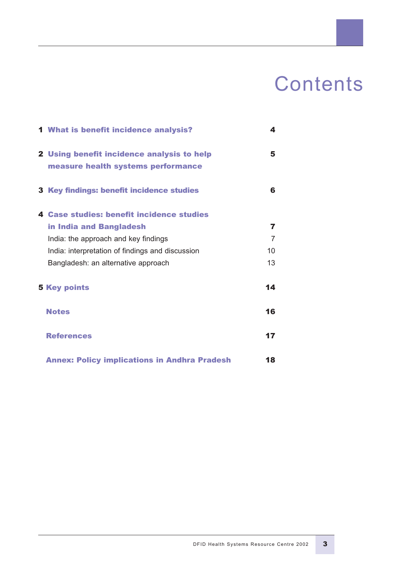# **Contents**

| <b>1 What is benefit incidence analysis?</b>        | 4  |
|-----------------------------------------------------|----|
| 2 Using benefit incidence analysis to help          | 5  |
| measure health systems performance                  |    |
| <b>3 Key findings: benefit incidence studies</b>    | 6  |
| 4 Case studies: benefit incidence studies           |    |
| in India and Bangladesh                             | 7  |
| India: the approach and key findings                | 7  |
| India: interpretation of findings and discussion    | 10 |
| Bangladesh: an alternative approach                 | 13 |
| <b>5 Key points</b>                                 | 14 |
| <b>Notes</b>                                        | 16 |
| <b>References</b>                                   | 17 |
| <b>Annex: Policy implications in Andhra Pradesh</b> | 18 |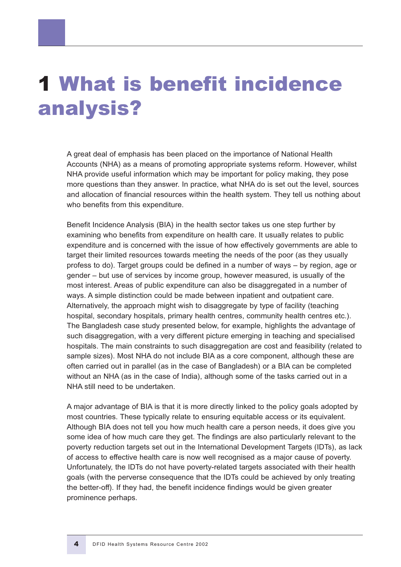# 1 What is benefit incidence analysis?

A great deal of emphasis has been placed on the importance of National Health Accounts (NHA) as a means of promoting appropriate systems reform. However, whilst NHA provide useful information which may be important for policy making, they pose more questions than they answer. In practice, what NHA do is set out the level, sources and allocation of financial resources within the health system. They tell us nothing about who benefits from this expenditure.

Benefit Incidence Analysis (BIA) in the health sector takes us one step further by examining who benefits from expenditure on health care. It usually relates to public expenditure and is concerned with the issue of how effectively governments are able to target their limited resources towards meeting the needs of the poor (as they usually profess to do). Target groups could be defined in a number of ways – by region, age or gender – but use of services by income group, however measured, is usually of the most interest. Areas of public expenditure can also be disaggregated in a number of ways. A simple distinction could be made between inpatient and outpatient care. Alternatively, the approach might wish to disaggregate by type of facility (teaching hospital, secondary hospitals, primary health centres, community health centres etc.). The Bangladesh case study presented below, for example, highlights the advantage of such disaggregation, with a very different picture emerging in teaching and specialised hospitals. The main constraints to such disaggregation are cost and feasibility (related to sample sizes). Most NHA do not include BIA as a core component, although these are often carried out in parallel (as in the case of Bangladesh) or a BIA can be completed without an NHA (as in the case of India), although some of the tasks carried out in a NHA still need to be undertaken.

A major advantage of BIA is that it is more directly linked to the policy goals adopted by most countries. These typically relate to ensuring equitable access or its equivalent. Although BIA does not tell you how much health care a person needs, it does give you some idea of how much care they get. The findings are also particularly relevant to the poverty reduction targets set out in the International Development Targets (IDTs), as lack of access to effective health care is now well recognised as a major cause of poverty. Unfortunately, the IDTs do not have poverty-related targets associated with their health goals (with the perverse consequence that the IDTs could be achieved by only treating the better-off). If they had, the benefit incidence findings would be given greater prominence perhaps.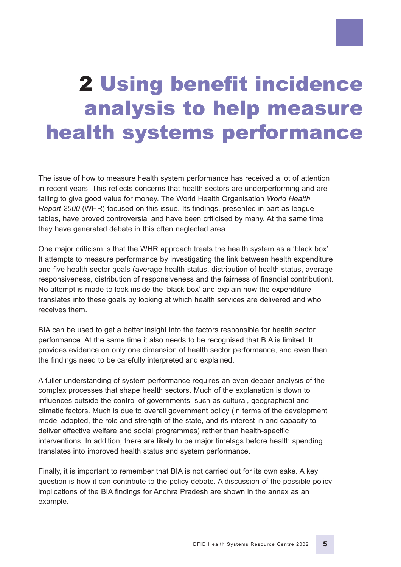# 2 Using benefit incidence analysis to help measure health systems performance

The issue of how to measure health system performance has received a lot of attention in recent years. This reflects concerns that health sectors are underperforming and are failing to give good value for money. The World Health Organisation *World Health Report 2000* (WHR) focused on this issue. Its findings, presented in part as league tables, have proved controversial and have been criticised by many. At the same time they have generated debate in this often neglected area.

One major criticism is that the WHR approach treats the health system as a 'black box'. It attempts to measure performance by investigating the link between health expenditure and five health sector goals (average health status, distribution of health status, average responsiveness, distribution of responsiveness and the fairness of financial contribution). No attempt is made to look inside the 'black box' and explain how the expenditure translates into these goals by looking at which health services are delivered and who receives them.

BIA can be used to get a better insight into the factors responsible for health sector performance. At the same time it also needs to be recognised that BIA is limited. It provides evidence on only one dimension of health sector performance, and even then the findings need to be carefully interpreted and explained.

A fuller understanding of system performance requires an even deeper analysis of the complex processes that shape health sectors. Much of the explanation is down to influences outside the control of governments, such as cultural, geographical and climatic factors. Much is due to overall government policy (in terms of the development model adopted, the role and strength of the state, and its interest in and capacity to deliver effective welfare and social programmes) rather than health-specific interventions. In addition, there are likely to be major timelags before health spending translates into improved health status and system performance.

Finally, it is important to remember that BIA is not carried out for its own sake. A key question is how it can contribute to the policy debate. A discussion of the possible policy implications of the BIA findings for Andhra Pradesh are shown in the annex as an example.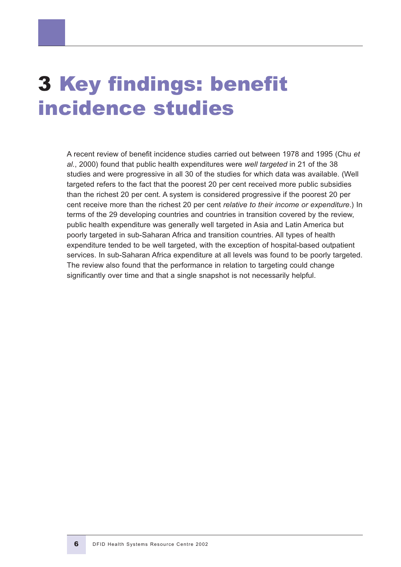# 3 Key findings: benefit incidence studies

A recent review of benefit incidence studies carried out between 1978 and 1995 (Chu *et al.*, 2000) found that public health expenditures were *well targeted* in 21 of the 38 studies and were progressive in all 30 of the studies for which data was available. (Well targeted refers to the fact that the poorest 20 per cent received more public subsidies than the richest 20 per cent. A system is considered progressive if the poorest 20 per cent receive more than the richest 20 per cent *relative to their income or expenditure*.) In terms of the 29 developing countries and countries in transition covered by the review, public health expenditure was generally well targeted in Asia and Latin America but poorly targeted in sub-Saharan Africa and transition countries. All types of health expenditure tended to be well targeted, with the exception of hospital-based outpatient services. In sub-Saharan Africa expenditure at all levels was found to be poorly targeted. The review also found that the performance in relation to targeting could change significantly over time and that a single snapshot is not necessarily helpful.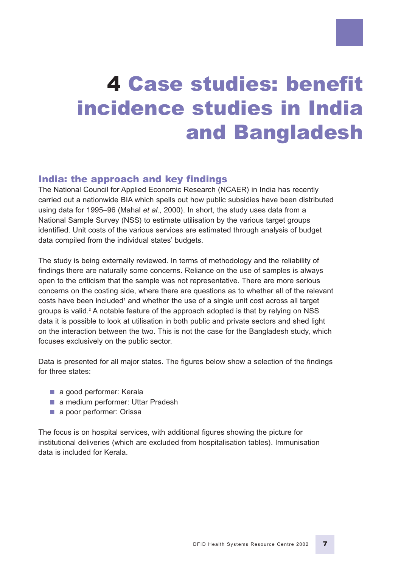# 4 Case studies: benefit incidence studies in India and Bangladesh

# India: the approach and key findings

The National Council for Applied Economic Research (NCAER) in India has recently carried out a nationwide BIA which spells out how public subsidies have been distributed using data for 1995–96 (Mahal *et al.*, 2000). In short, the study uses data from a National Sample Survey (NSS) to estimate utilisation by the various target groups identified. Unit costs of the various services are estimated through analysis of budget data compiled from the individual states' budgets.

The study is being externally reviewed. In terms of methodology and the reliability of findings there are naturally some concerns. Reliance on the use of samples is always open to the criticism that the sample was not representative. There are more serious concerns on the costing side, where there are questions as to whether all of the relevant costs have been included<sup>1</sup> and whether the use of a single unit cost across all target groups is valid.<sup>2</sup> A notable feature of the approach adopted is that by relying on NSS data it is possible to look at utilisation in both public and private sectors and shed light on the interaction between the two. This is not the case for the Bangladesh study, which focuses exclusively on the public sector.

Data is presented for all major states. The figures below show a selection of the findings for three states:

- a good performer: Kerala
- a medium performer: Uttar Pradesh
- a poor performer: Orissa

The focus is on hospital services, with additional figures showing the picture for institutional deliveries (which are excluded from hospitalisation tables). Immunisation data is included for Kerala.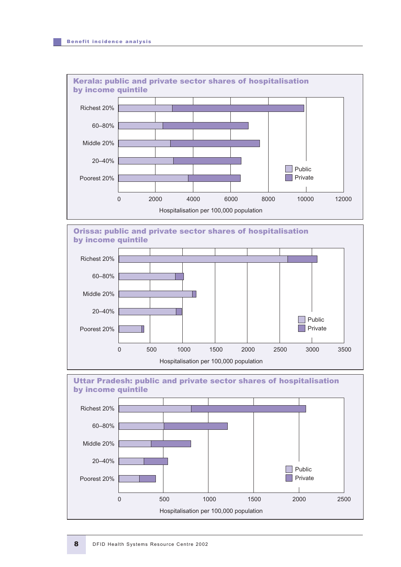







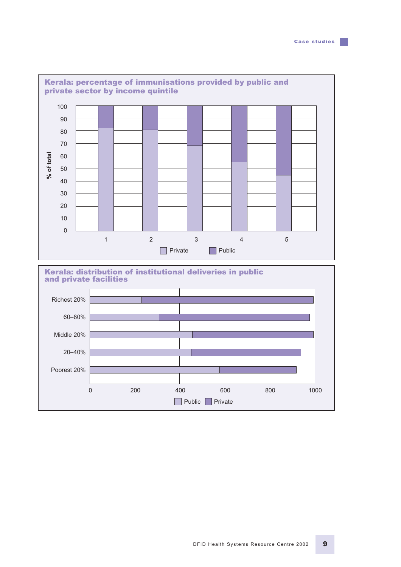

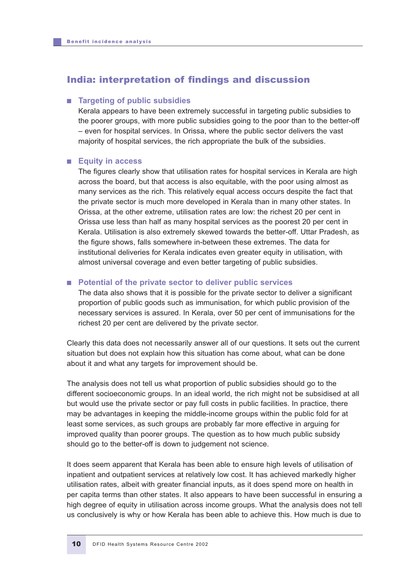### India: interpretation of findings and discussion

#### ■ **Targeting of public subsidies**

Kerala appears to have been extremely successful in targeting public subsidies to the poorer groups, with more public subsidies going to the poor than to the better-off – even for hospital services. In Orissa, where the public sector delivers the vast majority of hospital services, the rich appropriate the bulk of the subsidies.

#### ■ **Equity in access**

The figures clearly show that utilisation rates for hospital services in Kerala are high across the board, but that access is also equitable, with the poor using almost as many services as the rich. This relatively equal access occurs despite the fact that the private sector is much more developed in Kerala than in many other states. In Orissa, at the other extreme, utilisation rates are low: the richest 20 per cent in Orissa use less than half as many hospital services as the poorest 20 per cent in Kerala. Utilisation is also extremely skewed towards the better-off. Uttar Pradesh, as the figure shows, falls somewhere in-between these extremes. The data for institutional deliveries for Kerala indicates even greater equity in utilisation, with almost universal coverage and even better targeting of public subsidies.

#### ■ **Potential of the private sector to deliver public services**

The data also shows that it is possible for the private sector to deliver a significant proportion of public goods such as immunisation, for which public provision of the necessary services is assured. In Kerala, over 50 per cent of immunisations for the richest 20 per cent are delivered by the private sector.

Clearly this data does not necessarily answer all of our questions. It sets out the current situation but does not explain how this situation has come about, what can be done about it and what any targets for improvement should be.

The analysis does not tell us what proportion of public subsidies should go to the different socioeconomic groups. In an ideal world, the rich might not be subsidised at all but would use the private sector or pay full costs in public facilities. In practice, there may be advantages in keeping the middle-income groups within the public fold for at least some services, as such groups are probably far more effective in arguing for improved quality than poorer groups. The question as to how much public subsidy should go to the better-off is down to judgement not science.

It does seem apparent that Kerala has been able to ensure high levels of utilisation of inpatient and outpatient services at relatively low cost. It has achieved markedly higher utilisation rates, albeit with greater financial inputs, as it does spend more on health in per capita terms than other states. It also appears to have been successful in ensuring a high degree of equity in utilisation across income groups. What the analysis does not tell us conclusively is why or how Kerala has been able to achieve this. How much is due to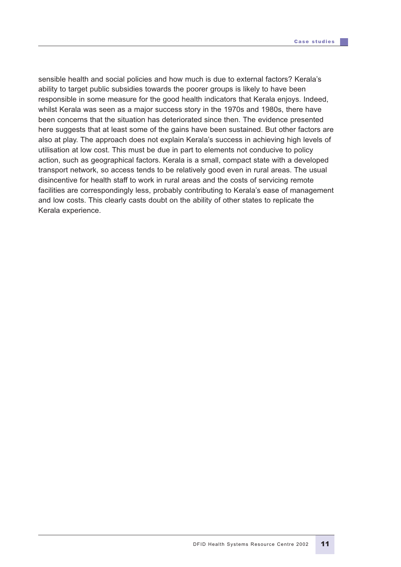sensible health and social policies and how much is due to external factors? Kerala's ability to target public subsidies towards the poorer groups is likely to have been responsible in some measure for the good health indicators that Kerala enjoys. Indeed, whilst Kerala was seen as a major success story in the 1970s and 1980s, there have been concerns that the situation has deteriorated since then. The evidence presented here suggests that at least some of the gains have been sustained. But other factors are also at play. The approach does not explain Kerala's success in achieving high levels of utilisation at low cost. This must be due in part to elements not conducive to policy action, such as geographical factors. Kerala is a small, compact state with a developed transport network, so access tends to be relatively good even in rural areas. The usual disincentive for health staff to work in rural areas and the costs of servicing remote facilities are correspondingly less, probably contributing to Kerala's ease of management and low costs. This clearly casts doubt on the ability of other states to replicate the Kerala experience.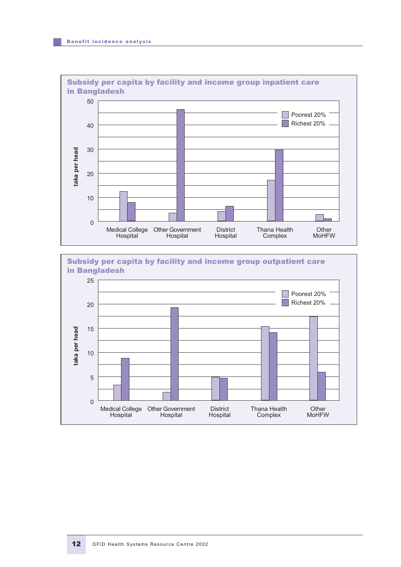

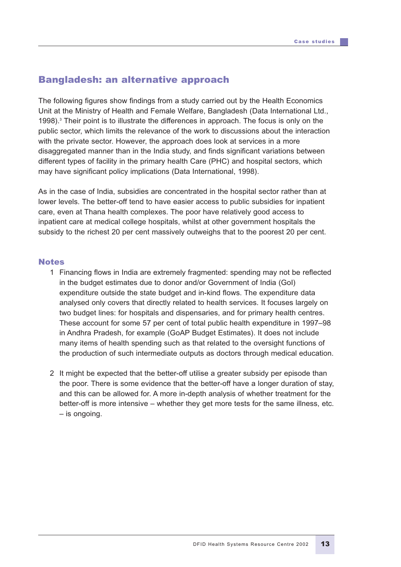### Bangladesh: an alternative approach

The following figures show findings from a study carried out by the Health Economics Unit at the Ministry of Health and Female Welfare, Bangladesh (Data International Ltd., 1998). $3$  Their point is to illustrate the differences in approach. The focus is only on the public sector, which limits the relevance of the work to discussions about the interaction with the private sector. However, the approach does look at services in a more disaggregated manner than in the India study, and finds significant variations between different types of facility in the primary health Care (PHC) and hospital sectors, which may have significant policy implications (Data International, 1998).

As in the case of India, subsidies are concentrated in the hospital sector rather than at lower levels. The better-off tend to have easier access to public subsidies for inpatient care, even at Thana health complexes. The poor have relatively good access to inpatient care at medical college hospitals, whilst at other government hospitals the subsidy to the richest 20 per cent massively outweighs that to the poorest 20 per cent.

#### Notes

- 1 Financing flows in India are extremely fragmented: spending may not be reflected in the budget estimates due to donor and/or Government of India (GoI) expenditure outside the state budget and in-kind flows. The expenditure data analysed only covers that directly related to health services. It focuses largely on two budget lines: for hospitals and dispensaries, and for primary health centres. These account for some 57 per cent of total public health expenditure in 1997–98 in Andhra Pradesh, for example (GoAP Budget Estimates). It does not include many items of health spending such as that related to the oversight functions of the production of such intermediate outputs as doctors through medical education.
- 2 It might be expected that the better-off utilise a greater subsidy per episode than the poor. There is some evidence that the better-off have a longer duration of stay, and this can be allowed for. A more in-depth analysis of whether treatment for the better-off is more intensive – whether they get more tests for the same illness, etc. – is ongoing.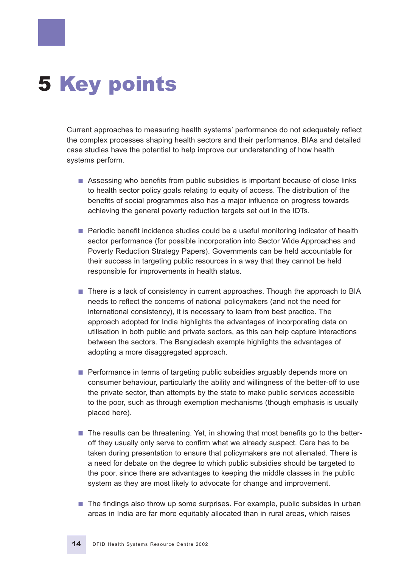# 5 Key points

Current approaches to measuring health systems' performance do not adequately reflect the complex processes shaping health sectors and their performance. BIAs and detailed case studies have the potential to help improve our understanding of how health systems perform.

- Assessing who benefits from public subsidies is important because of close links to health sector policy goals relating to equity of access. The distribution of the benefits of social programmes also has a major influence on progress towards achieving the general poverty reduction targets set out in the IDTs.
- Periodic benefit incidence studies could be a useful monitoring indicator of health sector performance (for possible incorporation into Sector Wide Approaches and Poverty Reduction Strategy Papers). Governments can be held accountable for their success in targeting public resources in a way that they cannot be held responsible for improvements in health status.
- There is a lack of consistency in current approaches. Though the approach to BIA needs to reflect the concerns of national policymakers (and not the need for international consistency), it is necessary to learn from best practice. The approach adopted for India highlights the advantages of incorporating data on utilisation in both public and private sectors, as this can help capture interactions between the sectors. The Bangladesh example highlights the advantages of adopting a more disaggregated approach.
- Performance in terms of targeting public subsidies arguably depends more on consumer behaviour, particularly the ability and willingness of the better-off to use the private sector, than attempts by the state to make public services accessible to the poor, such as through exemption mechanisms (though emphasis is usually placed here).
- The results can be threatening. Yet, in showing that most benefits go to the betteroff they usually only serve to confirm what we already suspect. Care has to be taken during presentation to ensure that policymakers are not alienated. There is a need for debate on the degree to which public subsidies should be targeted to the poor, since there are advantages to keeping the middle classes in the public system as they are most likely to advocate for change and improvement.
- The findings also throw up some surprises. For example, public subsides in urban areas in India are far more equitably allocated than in rural areas, which raises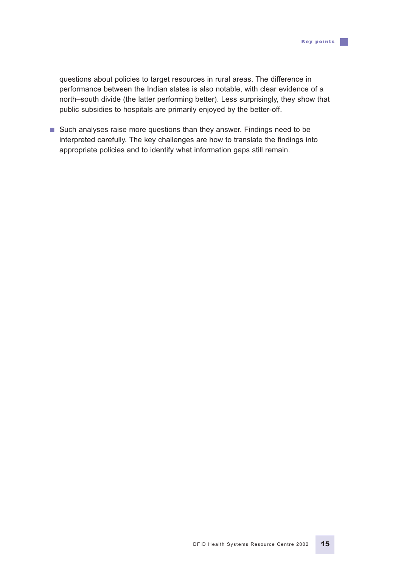questions about policies to target resources in rural areas. The difference in performance between the Indian states is also notable, with clear evidence of a north–south divide (the latter performing better). Less surprisingly, they show that public subsidies to hospitals are primarily enjoyed by the better-off.

■ Such analyses raise more questions than they answer. Findings need to be interpreted carefully. The key challenges are how to translate the findings into appropriate policies and to identify what information gaps still remain.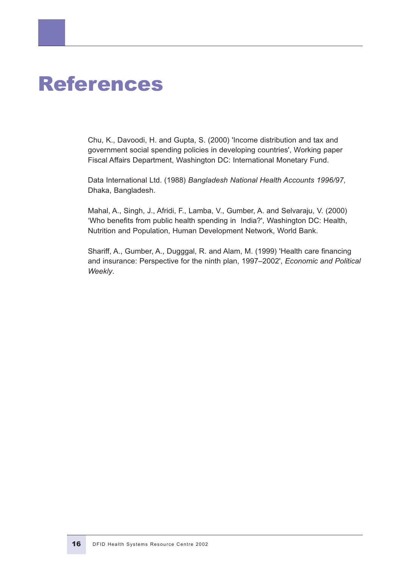# References

Chu, K., Davoodi, H. and Gupta, S. (2000) 'Income distribution and tax and government social spending policies in developing countries', Working paper Fiscal Affairs Department, Washington DC: International Monetary Fund.

Data International Ltd. (1988) *Bangladesh National Health Accounts 1996/97*, Dhaka, Bangladesh.

Mahal, A., Singh, J., Afridi, F., Lamba, V., Gumber, A. and Selvaraju, V. (2000) 'Who benefits from public health spending in India?', Washington DC: Health, Nutrition and Population, Human Development Network, World Bank.

Shariff, A., Gumber, A., Dugggal, R. and Alam, M. (1999) 'Health care financing and insurance: Perspective for the ninth plan, 1997–2002', *Economic and Political Weekly*.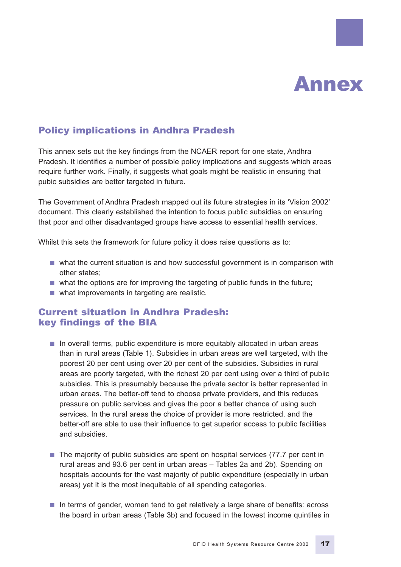# Annex

# Policy implications in Andhra Pradesh

This annex sets out the key findings from the NCAER report for one state, Andhra Pradesh. It identifies a number of possible policy implications and suggests which areas require further work. Finally, it suggests what goals might be realistic in ensuring that pubic subsidies are better targeted in future.

The Government of Andhra Pradesh mapped out its future strategies in its 'Vision 2002' document. This clearly established the intention to focus public subsidies on ensuring that poor and other disadvantaged groups have access to essential health services.

Whilst this sets the framework for future policy it does raise questions as to:

- what the current situation is and how successful government is in comparison with other states;
- what the options are for improving the targeting of public funds in the future;
- what improvements in targeting are realistic.

### Current situation in Andhra Pradesh: key findings of the BIA

- In overall terms, public expenditure is more equitably allocated in urban areas than in rural areas (Table 1). Subsidies in urban areas are well targeted, with the poorest 20 per cent using over 20 per cent of the subsidies. Subsidies in rural areas are poorly targeted, with the richest 20 per cent using over a third of public subsidies. This is presumably because the private sector is better represented in urban areas. The better-off tend to choose private providers, and this reduces pressure on public services and gives the poor a better chance of using such services. In the rural areas the choice of provider is more restricted, and the better-off are able to use their influence to get superior access to public facilities and subsidies.
- The majority of public subsidies are spent on hospital services (77.7 per cent in rural areas and 93.6 per cent in urban areas – Tables 2a and 2b). Spending on hospitals accounts for the vast majority of public expenditure (especially in urban areas) yet it is the most inequitable of all spending categories.
- In terms of gender, women tend to get relatively a large share of benefits: across the board in urban areas (Table 3b) and focused in the lowest income quintiles in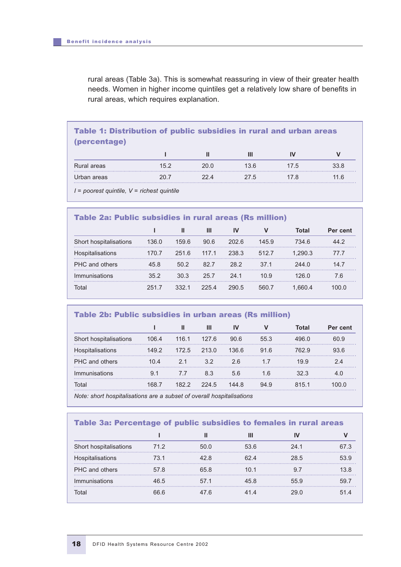rural areas (Table 3a). This is somewhat reassuring in view of their greater health needs. Women in higher income quintiles get a relatively low share of benefits in rural areas, which requires explanation.

# Table 1: Distribution of public subsidies in rural and urban areas (percentage)

|             |      |      | Ш    |      |      |
|-------------|------|------|------|------|------|
| Rural areas | 15.2 | 20.0 | 13.6 | 17.5 | 33.8 |
| Urban areas | 20.7 | 22 A | 27.5 | 7.8  | .6   |

*I = poorest quintile, V = richest quintile*

### Table 2a: Public subsidies in rural areas (Rs million)

|                        |       |       | Ш     | IV    |                 | Total   | Per cent |
|------------------------|-------|-------|-------|-------|-----------------|---------|----------|
| Short hospitalisations | 136.0 | 159.6 | 90.6  | 202.6 | 145.9           | 734.6   | 44.2     |
| Hospitalisations       | 170.7 | 251.6 | 117.1 | 238.3 | 512.7           | 1.290.3 | 77.7     |
| PHC and others         | 458   | 50.2  | 82.7  | 28.2  | 37 <sub>1</sub> | 244 O   | 14 7     |
| Immunisations          | 352   | 30.3  | 25.7  | 24 1  | 10.9            | 126 በ   | 7.6      |
| Total                  | 2517  | 3321  | 2254  | 290.5 | 560.7           | 1.660.4 | 100 Q    |

#### Table 2b: Public subsidies in urban areas (Rs million)

|                            |                   |         | Ш     | IV    | V    | Total | Per cent |
|----------------------------|-------------------|---------|-------|-------|------|-------|----------|
| ort hospitalisations<br>Sh | $106\,\mathrm{A}$ | 116.1   | 127.6 | 90.6  | 55.3 |       | 60 9     |
| pitalisations.             | 1492              | 172.5   | 213.0 | 1366  | 91.6 | 762 9 | 936      |
| <b>PHC</b> and others      | (1) 4             | 21      | 32    | 26    |      | 19.9  |          |
| <i>Immunisations</i>       |                   |         | 8.3   | 5.6   | 1.6  |       |          |
| Total                      |                   | I R 2 2 | 224.5 | 144 R | 94.9 | 8151  |          |

*Note: short hospitalisations are a subset of overall hospitalisations*

#### Table 3a: Percentage of public subsidies to females in rural areas

|                        |      |       | Ш    |      |      |
|------------------------|------|-------|------|------|------|
| Short hospitalisations | 71.2 | .50 Q | 53.6 | 241  | 67 S |
| Hospitalisations       | 73.1 | 42 R  | 62 A | 28.5 | 53.9 |
| PHC and others         | 578  | 65 R  | 1በ 1 | 97   | 13 ጸ |
| Immunisations          | 46.5 | 571   | 45 R | 55.9 | 59.  |
| Total                  | 66 6 | 47 R  | 41 4 | 29 Q | 51 4 |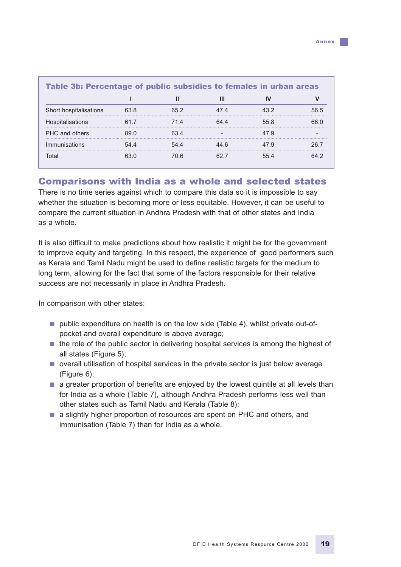| Table 3b: Percentage of public subsidies to females in urban areas |      |      |      |      |      |  |  |  |  |
|--------------------------------------------------------------------|------|------|------|------|------|--|--|--|--|
|                                                                    |      |      |      |      |      |  |  |  |  |
| Short hospitalisations                                             | 63.8 | 652  | 47 4 | 43.2 | 56.5 |  |  |  |  |
| Hospitalisations                                                   |      | 714  | 6444 | 558  | 66 N |  |  |  |  |
| PHC and others                                                     | 89 O | 634  |      | 47 Q |      |  |  |  |  |
| Immunisations                                                      | 544  | 544  | 44 R | 47 Q | 26.7 |  |  |  |  |
| Total                                                              | 63 N | 70 R | 62 7 | 554  | 64 2 |  |  |  |  |

### Comparisons with India as a whole and selected states

There is no time series against which to compare this data so it is impossible to say whether the situation is becoming more or less equitable. However, it can be useful to compare the current situation in Andhra Pradesh with that of other states and India as a whole.

It is also difficult to make predictions about how realistic it might be for the government to improve equity and targeting. In this respect, the experience of good performers such as Kerala and Tamil Nadu might be used to define realistic targets for the medium to long term, allowing for the fact that some of the factors responsible for their relative success are not necessarily in place in Andhra Pradesh.

In comparison with other states:

- public expenditure on health is on the low side (Table 4), whilst private out-ofpocket and overall expenditure is above average;
- the role of the public sector in delivering hospital services is among the highest of all states (Figure 5);
- overall utilisation of hospital services in the private sector is just below average (Figure 6);
- a greater proportion of benefits are enjoyed by the lowest quintile at all levels than for India as a whole (Table 7), although Andhra Pradesh performs less well than other states such as Tamil Nadu and Kerala (Table 8);
- a slightly higher proportion of resources are spent on PHC and others, and immunisation (Table 7) than for India as a whole.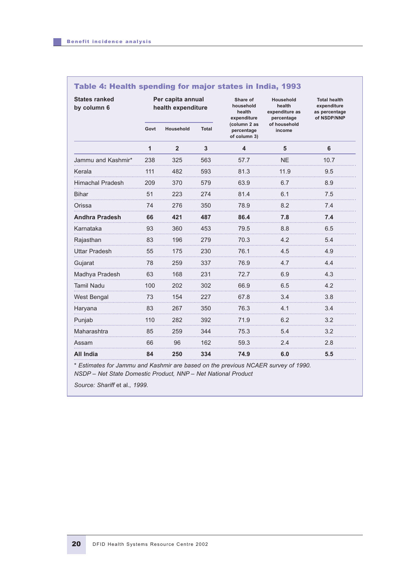|  |  | Table 4: Health spending for major states in India, 1993 |  |  |  |  |  |  |
|--|--|----------------------------------------------------------|--|--|--|--|--|--|
|--|--|----------------------------------------------------------|--|--|--|--|--|--|

| <b>States ranked</b><br>by column 6 | Per capita annual<br>health expenditure |                |       | Share of<br>household<br>health<br>expenditure | Household<br>health<br>expenditure as<br>percentage | <b>Total health</b><br>expenditure<br>as percentage<br>of NSDP/NNP |  |
|-------------------------------------|-----------------------------------------|----------------|-------|------------------------------------------------|-----------------------------------------------------|--------------------------------------------------------------------|--|
|                                     | Govt                                    | Household      | Total | (column 2 as<br>percentage<br>of column 3)     | of household<br>income                              |                                                                    |  |
|                                     | 1                                       | $\overline{2}$ | 3     | 4                                              | 5                                                   | 6                                                                  |  |
| Jammu and Kashmir*                  | 238                                     | 325            | 563   | 57.7                                           | <b>NE</b>                                           | 10.7                                                               |  |
| Kerala                              | 111                                     | 482            | 593   | 81.3                                           | 11.9                                                | 9.5                                                                |  |
| <b>Himachal Pradesh</b>             | 209                                     | 370            | 579   | 63.9                                           | 6.7                                                 | 8.9                                                                |  |
| <b>Bihar</b>                        | 51                                      | 223            | 274   | 81.4                                           | 6.1                                                 | 7.5                                                                |  |
| Orissa                              | 74                                      | 276            | 350   | 78.9                                           | 8.2                                                 | 7.4                                                                |  |
| <b>Andhra Pradesh</b>               | 66                                      | 421            | 487   | 86.4                                           | 7.8                                                 | 7.4                                                                |  |
| Karnataka                           | 93                                      | 360            | 453   | 79.5                                           | 8.8                                                 | 6.5                                                                |  |
| Rajasthan                           | 83                                      | 196            | 279   | 70.3                                           | 4.2                                                 | 5.4                                                                |  |
| <b>Uttar Pradesh</b>                | 55                                      | 175            | 230   | 76.1                                           | 4.5                                                 | 4.9                                                                |  |
| Gujarat                             | 78                                      | 259            | 337   | 76.9                                           | 4.7                                                 | 4.4                                                                |  |
| Madhya Pradesh                      | 63                                      | 168            | 231   | 72.7                                           | 6.9                                                 | 4.3                                                                |  |
| <b>Tamil Nadu</b>                   | 100                                     | 202            | 302   | 66.9                                           | 6.5                                                 | 4.2                                                                |  |
| West Bengal                         | 73                                      | 154            | 227   | 67.8                                           | 3.4                                                 | 3.8                                                                |  |
| Haryana                             | 83                                      | 267            | 350   | 76.3                                           | 4.1                                                 | 3.4                                                                |  |
| Punjab                              | 110                                     | 282            | 392   | 71.9                                           | 6.2                                                 | 3.2                                                                |  |
| Maharashtra                         | 85                                      | 259            | 344   | 75.3                                           | 5.4                                                 | 3.2                                                                |  |
| Assam                               | 66                                      | 96             | 162   | 59.3                                           | 2.4                                                 | 2.8                                                                |  |
| All India                           | 84                                      | 250            | 334   | 74.9                                           | 6.0                                                 | 5.5                                                                |  |

*\* Estimates for Jammu and Kashmir are based on the previous NCAER survey of 1990. NSDP – Net State Domestic Product, NNP – Net National Product*

*Source: Shariff* et al.*, 1999.*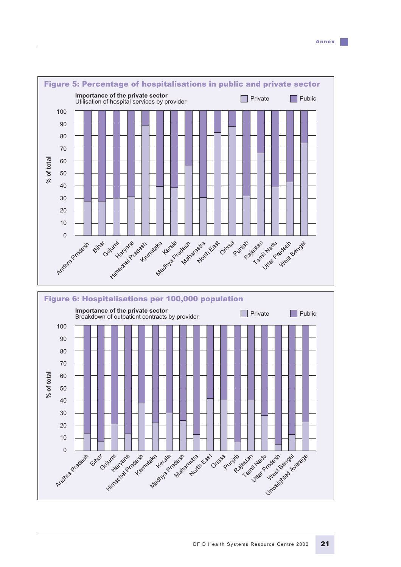

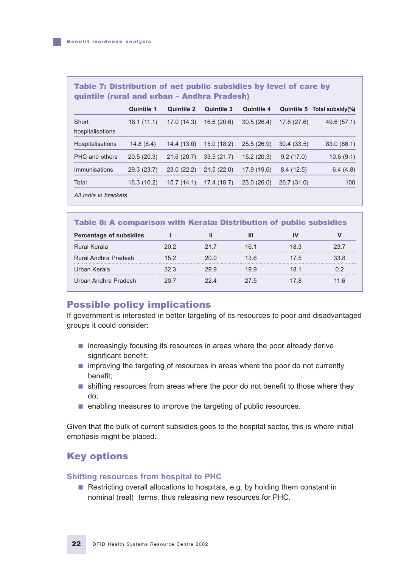### Table 7: Distribution of net public subsidies by level of care by quintile (rural and urban – Andhra Pradesh)

|                         | <b>Quintile 1</b> | <b>Quintile 2</b> | <b>Quintile 3</b> | <b>Quintile 4</b> |             | Quintile 5 Total subsidy(%) |
|-------------------------|-------------------|-------------------|-------------------|-------------------|-------------|-----------------------------|
| Short                   | 18.1(11.1)        | 17.0(14.3)        | 16.6 (20.6)       | 30.5(26.4)        | 17.8(27.6)  | 49.6 (57.1)                 |
| hospitalisations        |                   |                   |                   |                   |             |                             |
| <b>Hospitalisations</b> | 14.8(8.4)         | 14.4(13.0)        | 15.0(18.2)        | 25.5(26.9)        | 30.4(33.5)  | 83.0 (86.1)                 |
| PHC and others          | 20.5(20.3)        | 21.6(20.7)        | 33.5(21.7)        | 15.2(20.3)        | 9.2(17.0)   | 10.6(9.1)                   |
| Immunisations           | 29.3 (23.7)       | 23.0(22.2)        | 21.5(22.0)        | 17.9 (19.6)       | 8.4(12.5)   | 6.4(4.8)                    |
| Total                   | 16.3(10.2)        | 15.7(14.1)        | 17.4(18.7)        | 23.0(26.0)        | 26.7 (31.0) | 100                         |
| All India in brackets   |                   |                   |                   |                   |             |                             |

| <b>Table 8: A comparison with Kerala: Distribution of public subsidies</b> |      |      |      |      |      |  |  |  |
|----------------------------------------------------------------------------|------|------|------|------|------|--|--|--|
| <b>Percentage of subsidies</b>                                             |      |      | Ш    |      |      |  |  |  |
| Rural Kerala                                                               | 20.2 | 21.7 | 16.1 | 18.3 | 23.7 |  |  |  |
| Rural Andhra Pradesh                                                       | 15.2 | 20 O | 13 6 | 17.5 | 33.8 |  |  |  |
| Urban Kerala                                                               | 32 S | 29.9 | 19 9 | 18 1 |      |  |  |  |
| Urban Andhra Pradesh                                                       | 20 Z | 22 A | 27.5 | 17 8 | 1 6  |  |  |  |

# Possible policy implications

If government is interested in better targeting of its resources to poor and disadvantaged groups it could consider:

- increasingly focusing its resources in areas where the poor already derive significant benefit;
- improving the targeting of resources in areas where the poor do not currently benefit;
- shifting resources from areas where the poor do not benefit to those where they do;
- enabling measures to improve the targeting of public resources.

Given that the bulk of current subsidies goes to the hospital sector, this is where initial emphasis might be placed.

# Key options

### **Shifting resources from hospital to PHC**

■ Restricting overall allocations to hospitals, e.g. by holding them constant in nominal (real) terms, thus releasing new resources for PHC.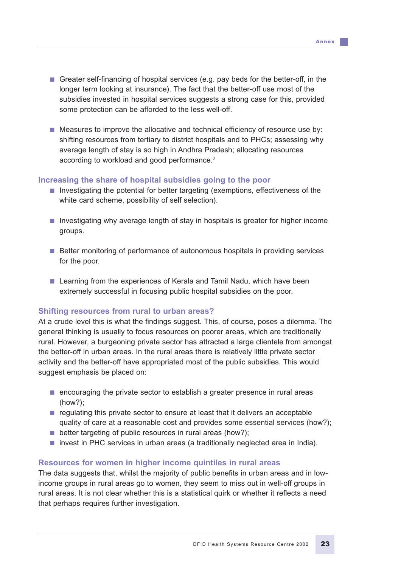- Greater self-financing of hospital services (e.g. pay beds for the better-off, in the longer term looking at insurance). The fact that the better-off use most of the subsidies invested in hospital services suggests a strong case for this, provided some protection can be afforded to the less well-off.
- Measures to improve the allocative and technical efficiency of resource use by: shifting resources from tertiary to district hospitals and to PHCs; assessing why average length of stay is so high in Andhra Pradesh; allocating resources according to workload and good performance.3

#### **Increasing the share of hospital subsidies going to the poor**

- Investigating the potential for better targeting (exemptions, effectiveness of the white card scheme, possibility of self selection).
- Investigating why average length of stay in hospitals is greater for higher income groups.
- Better monitoring of performance of autonomous hospitals in providing services for the poor.
- Learning from the experiences of Kerala and Tamil Nadu, which have been extremely successful in focusing public hospital subsidies on the poor.

#### **Shifting resources from rural to urban areas?**

At a crude level this is what the findings suggest. This, of course, poses a dilemma. The general thinking is usually to focus resources on poorer areas, which are traditionally rural. However, a burgeoning private sector has attracted a large clientele from amongst the better-off in urban areas. In the rural areas there is relatively little private sector activity and the better-off have appropriated most of the public subsidies. This would suggest emphasis be placed on:

- encouraging the private sector to establish a greater presence in rural areas (how?);
- regulating this private sector to ensure at least that it delivers an acceptable quality of care at a reasonable cost and provides some essential services (how?);
- better targeting of public resources in rural areas (how?);
- invest in PHC services in urban areas (a traditionally neglected area in India).

### **Resources for women in higher income quintiles in rural areas**

The data suggests that, whilst the majority of public benefits in urban areas and in lowincome groups in rural areas go to women, they seem to miss out in well-off groups in rural areas. It is not clear whether this is a statistical quirk or whether it reflects a need that perhaps requires further investigation.